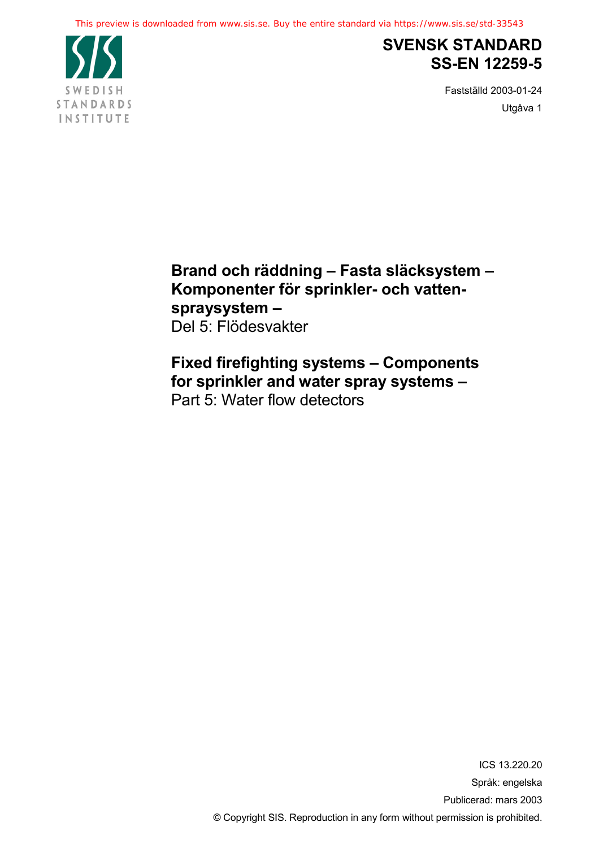

## **SVENSK STANDARD SS-EN 12259-5**

Fastställd 2003-01-24 Utgåva 1

**Brand och räddning – Fasta släcksystem – Komponenter för sprinkler- och vattenspraysystem –** Del 5: Flödesvakter

**Fixed firefighting systems – Components for sprinkler and water spray systems –** Part 5: Water flow detectors

> ICS 13.220.20 Språk: engelska Publicerad: mars 2003 © Copyright SIS. Reproduction in any form without permission is prohibited.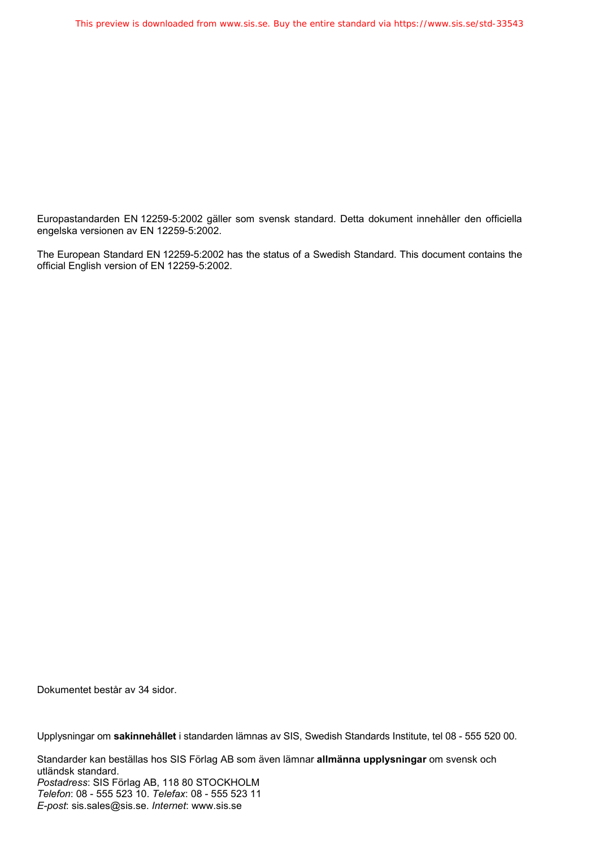Europastandarden EN 12259-5:2002 gäller som svensk standard. Detta dokument innehåller den officiella engelska versionen av EN 12259-5:2002.

The European Standard EN 12259-5:2002 has the status of a Swedish Standard. This document contains the official English version of EN 12259-5:2002.

Dokumentet består av 34 sidor.

Upplysningar om **sakinnehållet** i standarden lämnas av SIS, Swedish Standards Institute, tel 08 - 555 520 00.

Standarder kan beställas hos SIS Förlag AB som även lämnar **allmänna upplysningar** om svensk och utländsk standard. *Postadress*: SIS Förlag AB, 118 80 STOCKHOLM *Telefon*: 08 - 555 523 10. *Telefax*: 08 - 555 523 11 *E-post*: sis.sales@sis.se. *Internet*: www.sis.se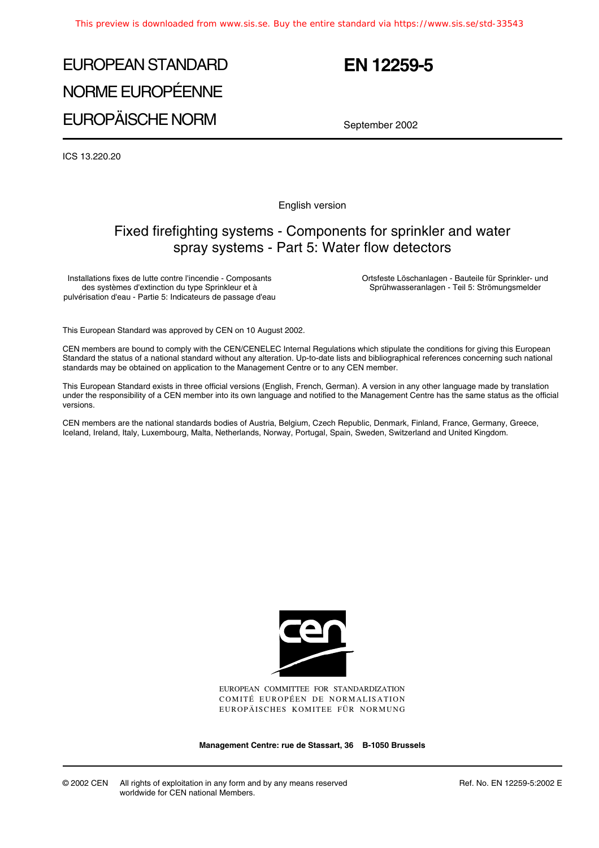# EUROPEAN STANDARD NORME EUROPÉENNE EUROPÄISCHE NORM

## **EN 12259-5**

September 2002

ICS 13.220.20

English version

## Fixed firefighting systems - Components for sprinkler and water spray systems - Part 5: Water flow detectors

Installations fixes de lutte contre l'incendie - Composants des systèmes d'extinction du type Sprinkleur et à pulvérisation d'eau - Partie 5: Indicateurs de passage d'eau Ortsfeste Löschanlagen - Bauteile für Sprinkler- und Sprühwasseranlagen - Teil 5: Strömungsmelder

This European Standard was approved by CEN on 10 August 2002.

CEN members are bound to comply with the CEN/CENELEC Internal Regulations which stipulate the conditions for giving this European Standard the status of a national standard without any alteration. Up-to-date lists and bibliographical references concerning such national standards may be obtained on application to the Management Centre or to any CEN member.

This European Standard exists in three official versions (English, French, German). A version in any other language made by translation under the responsibility of a CEN member into its own language and notified to the Management Centre has the same status as the official versions.

CEN members are the national standards bodies of Austria, Belgium, Czech Republic, Denmark, Finland, France, Germany, Greece, Iceland, Ireland, Italy, Luxembourg, Malta, Netherlands, Norway, Portugal, Spain, Sweden, Switzerland and United Kingdom.



EUROPEAN COMMITTEE FOR STANDARDIZATION COMITÉ EUROPÉEN DE NORMALISATION EUROPÄISCHES KOMITEE FÜR NORMUNG

**Management Centre: rue de Stassart, 36 B-1050 Brussels**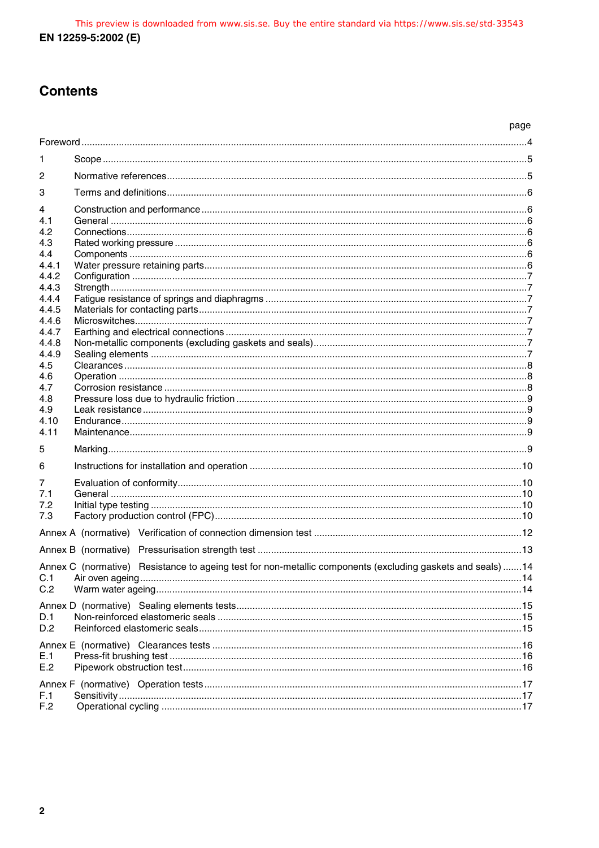## **Contents**

|                |                                                                                                            | page |
|----------------|------------------------------------------------------------------------------------------------------------|------|
|                |                                                                                                            |      |
| 1              |                                                                                                            |      |
| 2              |                                                                                                            |      |
| 3              |                                                                                                            |      |
| 4              |                                                                                                            |      |
| 4.1            |                                                                                                            |      |
| 4.2            |                                                                                                            |      |
| 4.3            |                                                                                                            |      |
| 4.4            |                                                                                                            |      |
| 4.4.1<br>4.4.2 |                                                                                                            |      |
| 4.4.3          |                                                                                                            |      |
| 4.4.4          |                                                                                                            |      |
| 4.4.5          |                                                                                                            |      |
| 4.4.6          |                                                                                                            |      |
| 4.4.7          |                                                                                                            |      |
| 4.4.8          |                                                                                                            |      |
| 4.4.9          |                                                                                                            |      |
| 4.5            |                                                                                                            |      |
| 4.6            |                                                                                                            |      |
| 4.7            |                                                                                                            |      |
| 4.8<br>4.9     |                                                                                                            |      |
| 4.10           |                                                                                                            |      |
| 4.11           |                                                                                                            |      |
|                |                                                                                                            |      |
| 5              |                                                                                                            |      |
| 6              |                                                                                                            |      |
| 7              |                                                                                                            |      |
| 7.1            |                                                                                                            |      |
| 7.2            |                                                                                                            |      |
| 7.3            |                                                                                                            |      |
|                |                                                                                                            |      |
|                |                                                                                                            |      |
|                | Annex C (normative) Resistance to ageing test for non-metallic components (excluding gaskets and seals) 14 |      |
| C.1            |                                                                                                            |      |
| C.2            |                                                                                                            |      |
|                |                                                                                                            |      |
| D.1            |                                                                                                            |      |
| D.2            |                                                                                                            |      |
|                |                                                                                                            |      |
|                |                                                                                                            |      |
| E.1<br>E.2     |                                                                                                            |      |
|                |                                                                                                            |      |
|                |                                                                                                            |      |
| F.1            |                                                                                                            |      |
| F.2            |                                                                                                            |      |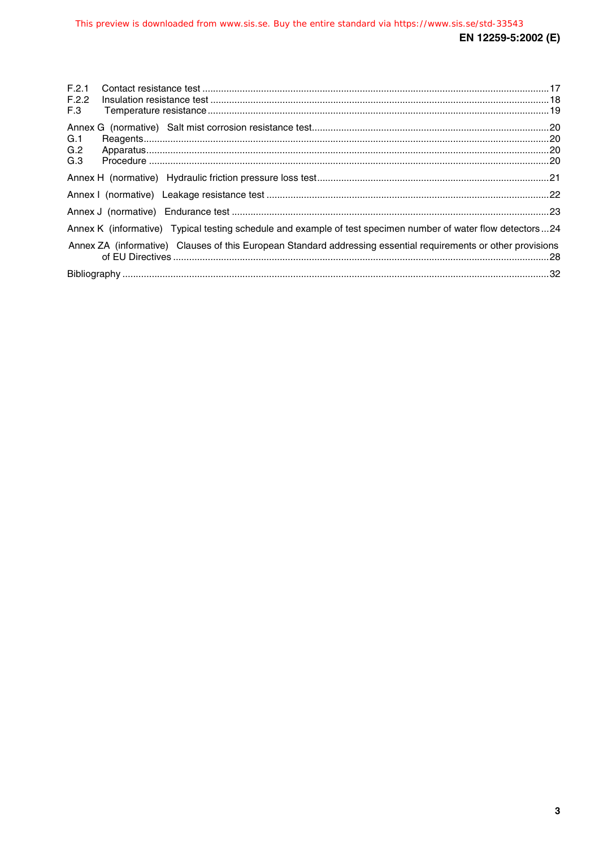| F.2.1                                                                                                          |  |
|----------------------------------------------------------------------------------------------------------------|--|
| F.2.2                                                                                                          |  |
| F.3                                                                                                            |  |
|                                                                                                                |  |
| G.1                                                                                                            |  |
| G.2                                                                                                            |  |
| G.3                                                                                                            |  |
|                                                                                                                |  |
|                                                                                                                |  |
|                                                                                                                |  |
| Annex K (informative) Typical testing schedule and example of test specimen number of water flow detectors24   |  |
| Annex ZA (informative) Clauses of this European Standard addressing essential requirements or other provisions |  |
|                                                                                                                |  |
|                                                                                                                |  |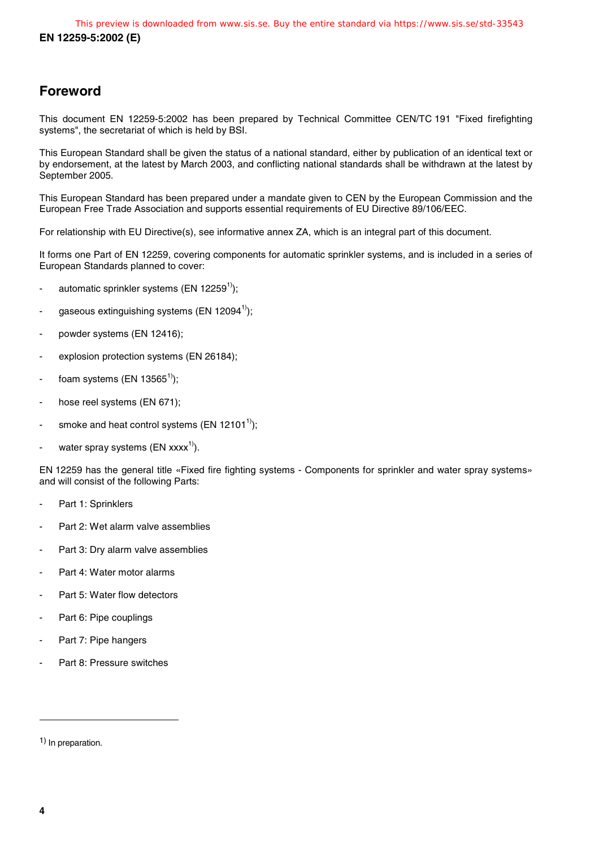## **Foreword**

This document EN 12259-5:2002 has been prepared by Technical Committee CEN/TC 191 "Fixed firefighting systems", the secretariat of which is held by BSI.

This European Standard shall be given the status of a national standard, either by publication of an identical text or by endorsement, at the latest by March 2003, and conflicting national standards shall be withdrawn at the latest by September 2005.

This European Standard has been prepared under a mandate given to CEN by the European Commission and the European Free Trade Association and supports essential requirements of EU Directive 89/106/EEC.

For relationship with EU Directive(s), see informative annex ZA, which is an integral part of this document.

It forms one Part of EN 12259, covering components for automatic sprinkler systems, and is included in a series of European Standards planned to cover:

- automatic sprinkler systems (EN 12259<sup>1</sup>);
- gaseous extinguishing systems (EN 12094<sup>1)</sup>);
- powder systems (EN 12416);
- explosion protection systems (EN 26184);
- foam systems (EN 13565<sup>1)</sup>);
- hose reel systems (EN 671);
- smoke and heat control systems (EN 12101<sup>1)</sup>);
- water spray systems (EN  $xxxx^{1}$ ).

EN 12259 has the general title «Fixed fire fighting systems - Components for sprinkler and water spray systems» and will consist of the following Parts:

- Part 1: Sprinklers
- Part 2: Wet alarm valve assemblies
- Part 3: Dry alarm valve assemblies
- Part 4: Water motor alarms
- Part 5: Water flow detectors
- Part 6: Pipe couplings
- Part 7: Pipe hangers
- Part 8: Pressure switches

1) In preparation.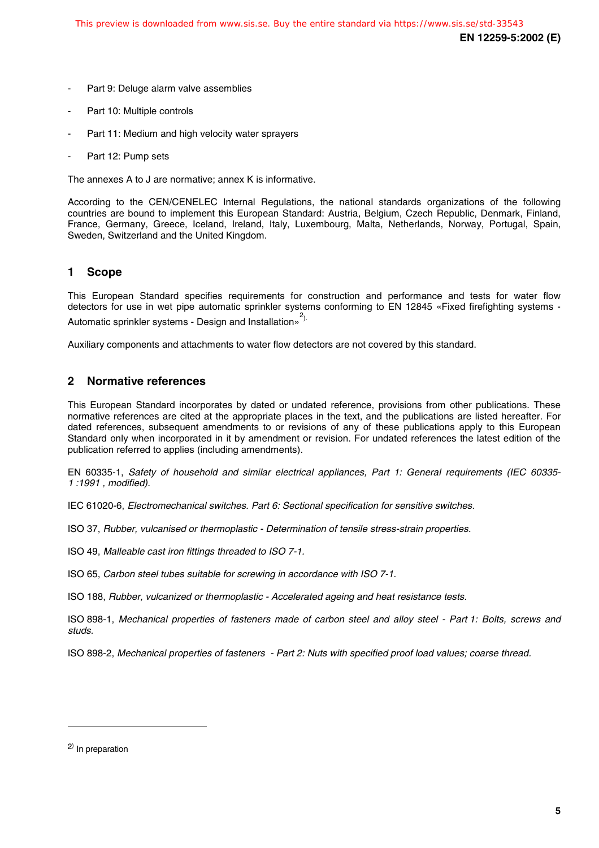- Part 9: Deluge alarm valve assemblies
- Part 10: Multiple controls
- Part 11: Medium and high velocity water sprayers
- Part 12: Pump sets

The annexes A to J are normative; annex K is informative.

According to the CEN/CENELEC Internal Regulations, the national standards organizations of the following countries are bound to implement this European Standard: Austria, Belgium, Czech Republic, Denmark, Finland, France, Germany, Greece, Iceland, Ireland, Italy, Luxembourg, Malta, Netherlands, Norway, Portugal, Spain, Sweden, Switzerland and the United Kingdom.

#### **1 Scope**

This European Standard specifies requirements for construction and performance and tests for water flow detectors for use in wet pipe automatic sprinkler systems conforming to EN 12845 «Fixed firefighting systems - Automatic sprinkler systems - Design and Installation»<sup>2).</sup>

Auxiliary components and attachments to water flow detectors are not covered by this standard.

#### **2 Normative references**

This European Standard incorporates by dated or undated reference, provisions from other publications. These normative references are cited at the appropriate places in the text, and the publications are listed hereafter. For dated references, subsequent amendments to or revisions of any of these publications apply to this European Standard only when incorporated in it by amendment or revision. For undated references the latest edition of the publication referred to applies (including amendments).

EN 60335-1, Safety of household and similar electrical appliances, Part 1: General requirements (IEC 60335- 1 :1991 , modified).

IEC 61020-6, Electromechanical switches. Part 6: Sectional specification for sensitive switches.

ISO 37, Rubber, vulcanised or thermoplastic - Determination of tensile stress-strain properties.

ISO 49, Malleable cast iron fittings threaded to ISO 7-1.

ISO 65, Carbon steel tubes suitable for screwing in accordance with ISO 7-1.

ISO 188, Rubber, vulcanized or thermoplastic - Accelerated ageing and heat resistance tests.

ISO 898-1, Mechanical properties of fasteners made of carbon steel and alloy steel - Part 1: Bolts, screws and studs.

ISO 898-2, Mechanical properties of fasteners - Part 2: Nuts with specified proof load values; coarse thread.

l

<sup>&</sup>lt;sup>2)</sup> In preparation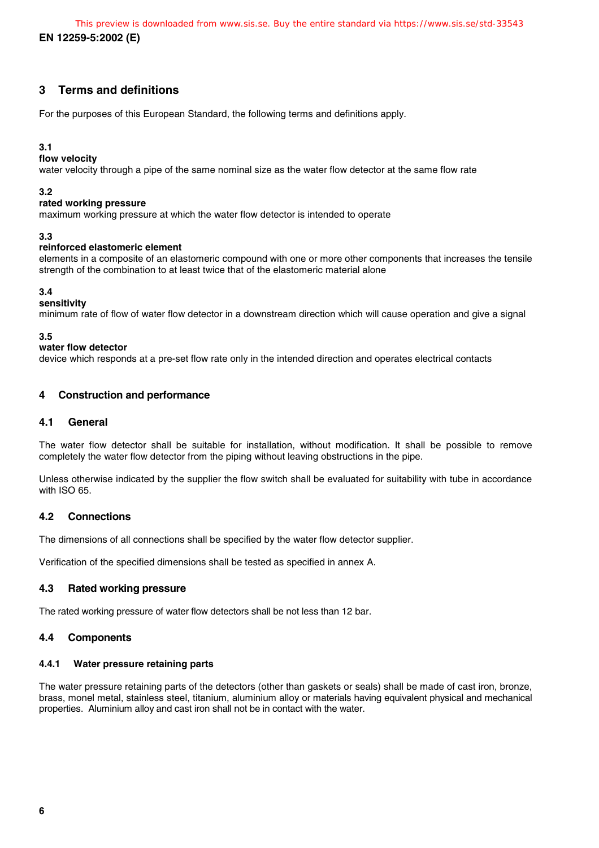**EN 12259-5:2002 (E)** This preview is downloaded from www.sis.se. Buy the entire standard via https://www.sis.se/std-33543

#### **3 Terms and definitions**

For the purposes of this European Standard, the following terms and definitions apply.

#### **3.1**

**flow velocity**

water velocity through a pipe of the same nominal size as the water flow detector at the same flow rate

#### **3.2**

#### **rated working pressure**

maximum working pressure at which the water flow detector is intended to operate

#### **3.3**

#### **reinforced elastomeric element**

elements in a composite of an elastomeric compound with one or more other components that increases the tensile strength of the combination to at least twice that of the elastomeric material alone

#### **3.4**

#### **sensitivity**

minimum rate of flow of water flow detector in a downstream direction which will cause operation and give a signal

#### **3.5**

#### **water flow detector**

device which responds at a pre-set flow rate only in the intended direction and operates electrical contacts

#### **4 Construction and performance**

#### **4.1 General**

The water flow detector shall be suitable for installation, without modification. It shall be possible to remove completely the water flow detector from the piping without leaving obstructions in the pipe.

Unless otherwise indicated by the supplier the flow switch shall be evaluated for suitability with tube in accordance with ISO 65.

#### **4.2 Connections**

The dimensions of all connections shall be specified by the water flow detector supplier.

Verification of the specified dimensions shall be tested as specified in annex A.

#### **4.3 Rated working pressure**

The rated working pressure of water flow detectors shall be not less than 12 bar.

#### **4.4 Components**

#### **4.4.1 Water pressure retaining parts**

The water pressure retaining parts of the detectors (other than gaskets or seals) shall be made of cast iron, bronze, brass, monel metal, stainless steel, titanium, aluminium alloy or materials having equivalent physical and mechanical properties. Aluminium alloy and cast iron shall not be in contact with the water.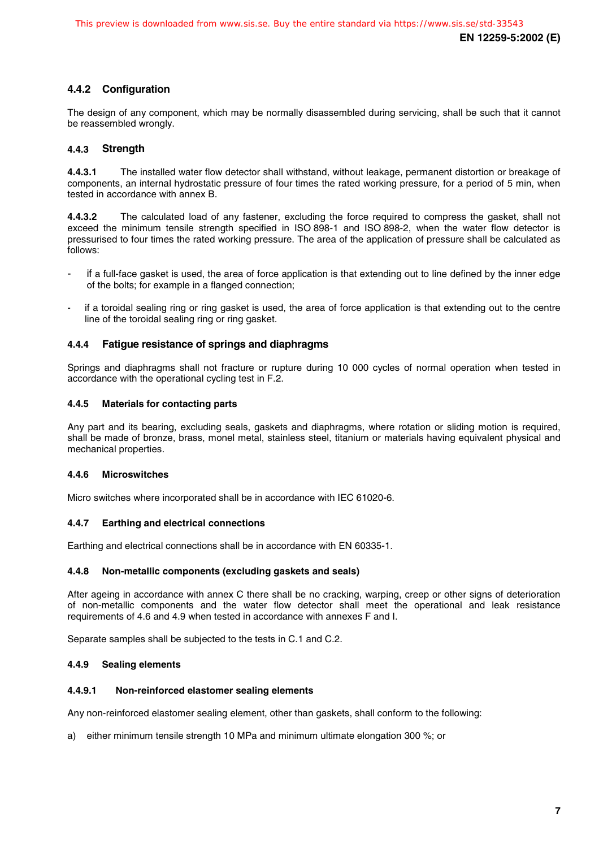#### **4.4.2 Configuration**

The design of any component, which may be normally disassembled during servicing, shall be such that it cannot be reassembled wrongly.

#### **4.4.3 Strength**

**4.4.3.1** The installed water flow detector shall withstand, without leakage, permanent distortion or breakage of components, an internal hydrostatic pressure of four times the rated working pressure, for a period of 5 min, when tested in accordance with annex B.

**4.4.3.2** The calculated load of any fastener, excluding the force required to compress the gasket, shall not exceed the minimum tensile strength specified in ISO 898-1 and ISO 898-2, when the water flow detector is pressurised to four times the rated working pressure. The area of the application of pressure shall be calculated as follows:

- if a full-face gasket is used, the area of force application is that extending out to line defined by the inner edge of the bolts; for example in a flanged connection;
- if a toroidal sealing ring or ring gasket is used, the area of force application is that extending out to the centre line of the toroidal sealing ring or ring gasket.

#### **4.4.4 Fatigue resistance of springs and diaphragms**

Springs and diaphragms shall not fracture or rupture during 10 000 cycles of normal operation when tested in accordance with the operational cycling test in F.2.

#### **4.4.5 Materials for contacting parts**

Any part and its bearing, excluding seals, gaskets and diaphragms, where rotation or sliding motion is required, shall be made of bronze, brass, monel metal, stainless steel, titanium or materials having equivalent physical and mechanical properties.

#### **4.4.6 Microswitches**

Micro switches where incorporated shall be in accordance with IEC 61020-6.

#### **4.4.7 Earthing and electrical connections**

Earthing and electrical connections shall be in accordance with EN 60335-1.

#### **4.4.8 Non-metallic components (excluding gaskets and seals)**

After ageing in accordance with annex C there shall be no cracking, warping, creep or other signs of deterioration of non-metallic components and the water flow detector shall meet the operational and leak resistance requirements of 4.6 and 4.9 when tested in accordance with annexes F and I.

Separate samples shall be subjected to the tests in C.1 and C.2.

#### **4.4.9 Sealing elements**

#### **4.4.9.1 Non-reinforced elastomer sealing elements**

Any non-reinforced elastomer sealing element, other than gaskets, shall conform to the following:

a) either minimum tensile strength 10 MPa and minimum ultimate elongation 300 %; or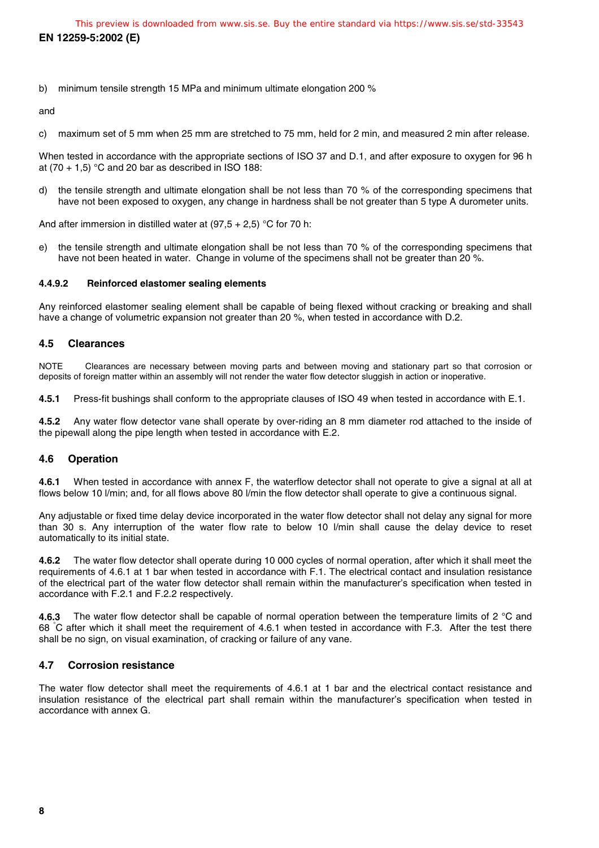b) minimum tensile strength 15 MPa and minimum ultimate elongation 200 %

and

c) maximum set of 5 mm when 25 mm are stretched to 75 mm, held for 2 min, and measured 2 min after release.

When tested in accordance with the appropriate sections of ISO 37 and D.1, and after exposure to oxygen for 96 h at  $(70 + 1, 5)$  °C and 20 bar as described in ISO 188:

d) the tensile strength and ultimate elongation shall be not less than 70 % of the corresponding specimens that have not been exposed to oxygen, any change in hardness shall be not greater than 5 type A durometer units.

And after immersion in distilled water at  $(97.5 + 2.5)$  °C for 70 h:

e) the tensile strength and ultimate elongation shall be not less than 70 % of the corresponding specimens that have not been heated in water. Change in volume of the specimens shall not be greater than 20 %.

#### **4.4.9.2 Reinforced elastomer sealing elements**

Any reinforced elastomer sealing element shall be capable of being flexed without cracking or breaking and shall have a change of volumetric expansion not greater than 20 %, when tested in accordance with D.2.

#### **4.5 Clearances**

NOTE Clearances are necessary between moving parts and between moving and stationary part so that corrosion or deposits of foreign matter within an assembly will not render the water flow detector sluggish in action or inoperative.

**4.5.1** Press-fit bushings shall conform to the appropriate clauses of ISO 49 when tested in accordance with E.1.

**4.5.2** Any water flow detector vane shall operate by over-riding an 8 mm diameter rod attached to the inside of the pipewall along the pipe length when tested in accordance with E.2.

#### **4.6 Operation**

**4.6.1** When tested in accordance with annex F, the waterflow detector shall not operate to give a signal at all at flows below 10 l/min; and, for all flows above 80 l/min the flow detector shall operate to give a continuous signal.

Any adjustable or fixed time delay device incorporated in the water flow detector shall not delay any signal for more than 30 s. Any interruption of the water flow rate to below 10 l/min shall cause the delay device to reset automatically to its initial state.

**4.6.2** The water flow detector shall operate during 10 000 cycles of normal operation, after which it shall meet the requirements of 4.6.1 at 1 bar when tested in accordance with F.1. The electrical contact and insulation resistance of the electrical part of the water flow detector shall remain within the manufacturer's specification when tested in accordance with F.2.1 and F.2.2 respectively.

**4.6.3** The water flow detector shall be capable of normal operation between the temperature limits of 2 °C and 68 °C after which it shall meet the requirement of 4.6.1 when tested in accordance with F.3. After the test there shall be no sign, on visual examination, of cracking or failure of any vane.

#### **4.7 Corrosion resistance**

The water flow detector shall meet the requirements of 4.6.1 at 1 bar and the electrical contact resistance and insulation resistance of the electrical part shall remain within the manufacturer's specification when tested in accordance with annex G.